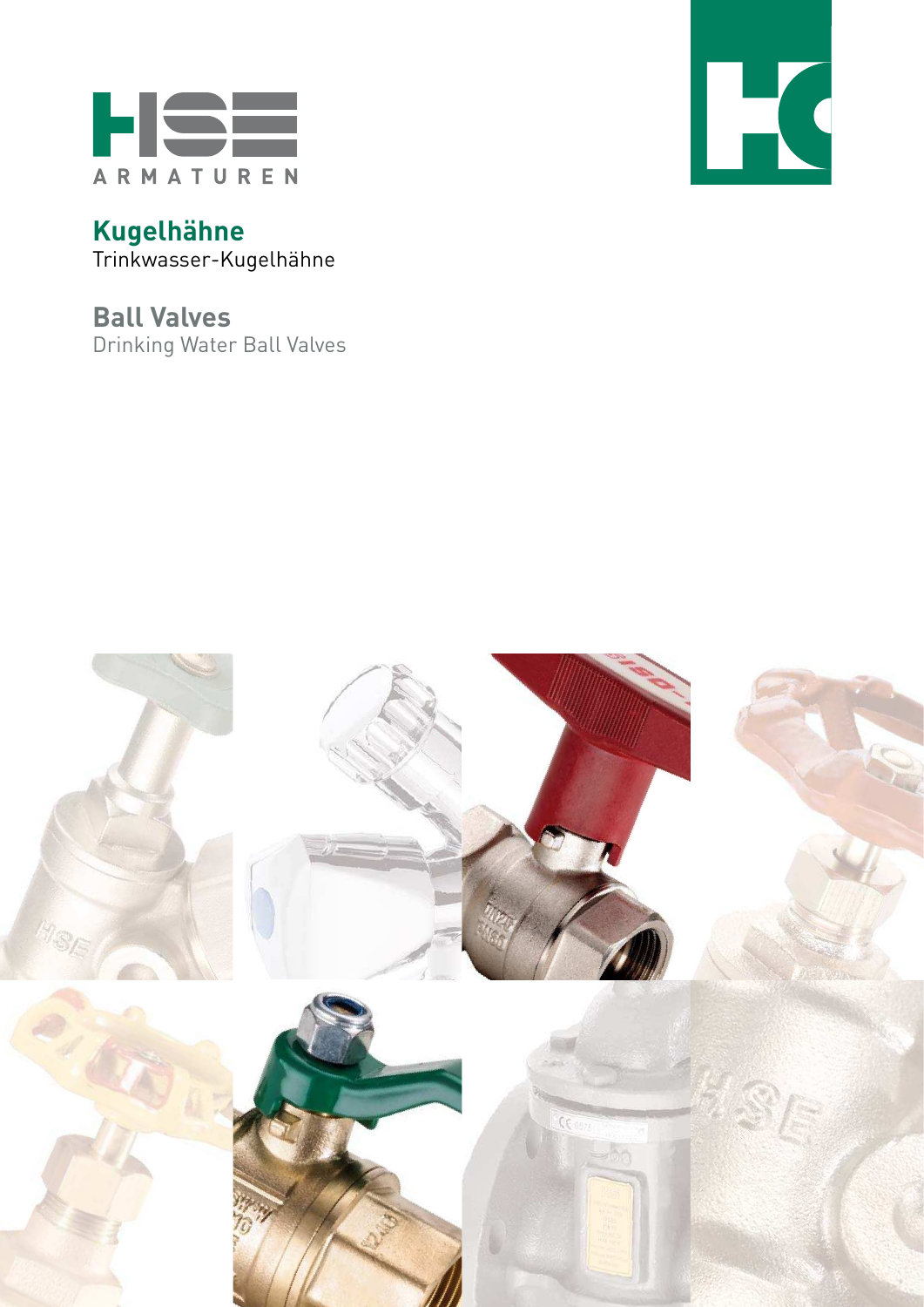

**Kugelhähne** Trinkwasser-Kugelhähne

**Ball Valves**  Drinking Water Ball Valves



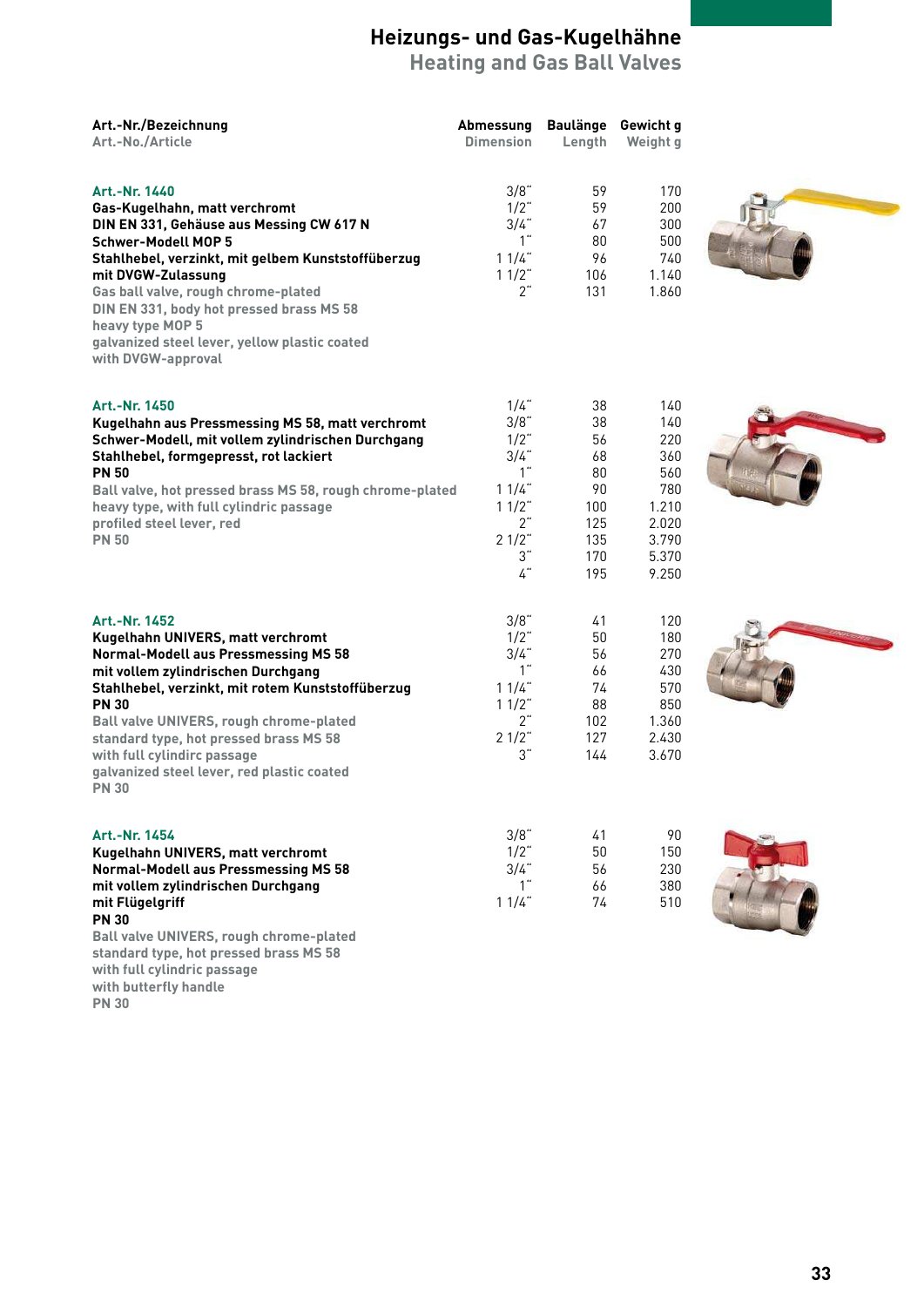**Heating and Gas Ball Valves**

| Art.-Nr./Bezeichnung<br>Art.-No./Article                                                                                                                                                                                                                                                                                                                                                       | Abmessung<br><b>Dimension</b>                                                                               | <b>Baulänge</b><br>Length                                           | Gewicht g<br>Weight g                                                               |  |
|------------------------------------------------------------------------------------------------------------------------------------------------------------------------------------------------------------------------------------------------------------------------------------------------------------------------------------------------------------------------------------------------|-------------------------------------------------------------------------------------------------------------|---------------------------------------------------------------------|-------------------------------------------------------------------------------------|--|
| Art.-Nr. 1440<br>Gas-Kugelhahn, matt verchromt<br>DIN EN 331, Gehäuse aus Messing CW 617 N<br><b>Schwer-Modell MOP 5</b><br>Stahlhebel, verzinkt, mit gelbem Kunststoffüberzug<br>mit DVGW-Zulassung<br>Gas ball valve, rough chrome-plated<br>DIN EN 331, body hot pressed brass MS 58<br>heavy type MOP 5<br>galvanized steel lever, yellow plastic coated<br>with DVGW-approval             | 3/8"<br>$1/2$ "<br>$3/4$ "<br>1"<br>11/4<br>$11/2$ "<br>2"                                                  | 59<br>59<br>67<br>80<br>96<br>106<br>131                            | 170<br>200<br>300<br>500<br>740<br>1.140<br>1.860                                   |  |
| Art.-Nr. 1450<br>Kugelhahn aus Pressmessing MS 58, matt verchromt<br>Schwer-Modell, mit vollem zylindrischen Durchgang<br>Stahlhebel, formgepresst, rot lackiert<br><b>PN 50</b><br>Ball valve, hot pressed brass MS 58, rough chrome-plated<br>heavy type, with full cylindric passage<br>profiled steel lever, red<br><b>PN 50</b>                                                           | $1/4$ "<br>3/8"<br>$1/2$ "<br>$3/4$ "<br>1 <sup>th</sup><br>11/4"<br>$11/2$ "<br>2"<br>$21/2$ "<br>3"<br>4" | 38<br>38<br>56<br>68<br>80<br>90<br>100<br>125<br>135<br>170<br>195 | 140<br>140<br>220<br>360<br>560<br>780<br>1.210<br>2.020<br>3.790<br>5.370<br>9.250 |  |
| Art.-Nr. 1452<br>Kugelhahn UNIVERS, matt verchromt<br><b>Normal-Modell aus Pressmessing MS 58</b><br>mit vollem zylindrischen Durchgang<br>Stahlhebel, verzinkt, mit rotem Kunststoffüberzug<br><b>PN 30</b><br>Ball valve UNIVERS, rough chrome-plated<br>standard type, hot pressed brass MS 58<br>with full cylindirc passage<br>galvanized steel lever, red plastic coated<br><b>PN 30</b> | 3/8"<br>$1/2$ "<br>$3/4$ "<br>1"<br>11/4<br>$11/2$ "<br>2"<br>$21/2$ "<br>3"                                | 41<br>50<br>56<br>66<br>74<br>88<br>102<br>127<br>144               | 120<br>180<br>270<br>430<br>570<br>850<br>1.360<br>2.430<br>3.670                   |  |
| Art.-Nr. 1454<br>Kugelhahn UNIVERS, matt verchromt<br><b>Normal-Modell aus Pressmessing MS 58</b><br>mit vollem zylindrischen Durchgang<br>mit Flügelgriff<br><b>PN 30</b><br>Ball valve UNIVERS, rough chrome-plated<br>standard type, hot pressed brass MS 58<br>with full cylindric passage<br>with butterfly handle                                                                        | 3/8"<br>$1/2$ "<br>$3/4$ "<br>1 <sup>th</sup><br>11/4                                                       | 41<br>50<br>56<br>66<br>74                                          | 90<br>150<br>230<br>380<br>510                                                      |  |

**PN 30**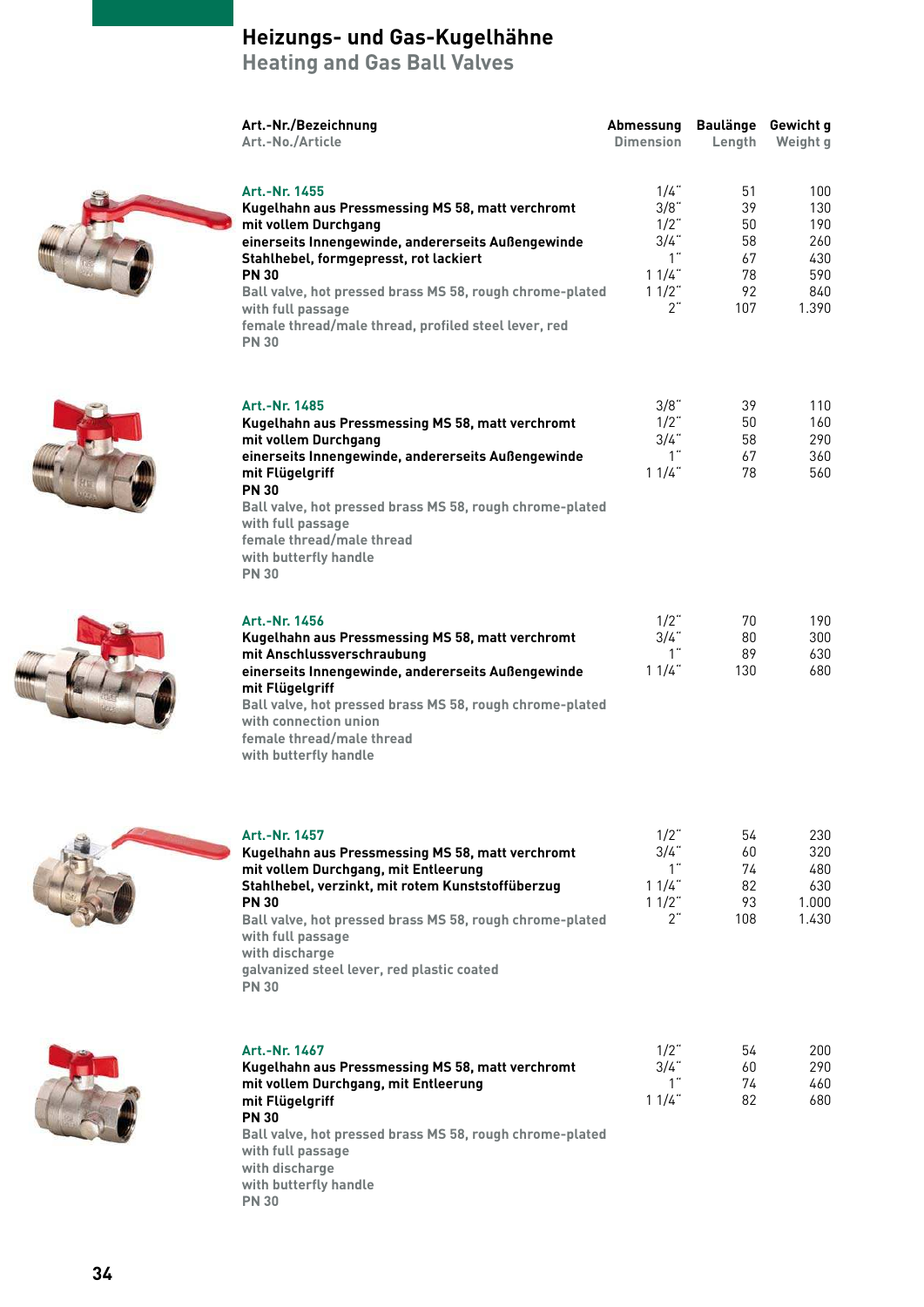**Heating and Gas Ball Valves**

|                                                                                                                                                                                                                                                                                                                                                                    | Art.-Nr./Bezeichnung<br>Art.-No./Article                                                                                                                                                                                                                                                                                                        | Abmessung<br><b>Dimension</b>                 | Length                                                 | Baulänge Gewicht g<br>Weight g             |
|--------------------------------------------------------------------------------------------------------------------------------------------------------------------------------------------------------------------------------------------------------------------------------------------------------------------------------------------------------------------|-------------------------------------------------------------------------------------------------------------------------------------------------------------------------------------------------------------------------------------------------------------------------------------------------------------------------------------------------|-----------------------------------------------|--------------------------------------------------------|--------------------------------------------|
| Art.-Nr. 1455<br>Kugelhahn aus Pressmessing MS 58, matt verchromt<br>mit vollem Durchgang<br>einerseits Innengewinde, andererseits Außengewinde<br>Stahlhebel, formgepresst, rot lackiert<br><b>PN 30</b><br>Ball valve, hot pressed brass MS 58, rough chrome-plated<br>with full passage<br>female thread/male thread, profiled steel lever, red<br><b>PN 30</b> | $1/4$ "<br>3/8"<br>$1/2$ "<br>$3/4$ "<br>1"<br>11/4<br>$11/2$ "<br>2"                                                                                                                                                                                                                                                                           | 51<br>39<br>50<br>58<br>67<br>78<br>92<br>107 | 100<br>130<br>190<br>260<br>430<br>590<br>840<br>1.390 |                                            |
|                                                                                                                                                                                                                                                                                                                                                                    | Art.-Nr. 1485<br>Kugelhahn aus Pressmessing MS 58, matt verchromt<br>mit vollem Durchgang<br>einerseits Innengewinde, andererseits Außengewinde<br>mit Flügelgriff<br><b>PN 30</b><br>Ball valve, hot pressed brass MS 58, rough chrome-plated<br>with full passage<br>female thread/male thread<br>with butterfly handle<br><b>PN 30</b>       | 3/8"<br>$1/2$ "<br>3/4"<br>1"<br>11/4         | 39<br>50<br>58<br>67<br>78                             | 110<br>160<br>290<br>360<br>560            |
|                                                                                                                                                                                                                                                                                                                                                                    | Art.-Nr. 1456<br>Kugelhahn aus Pressmessing MS 58, matt verchromt<br>mit Anschlussverschraubung<br>einerseits Innengewinde, andererseits Außengewinde<br>mit Flügelgriff<br>Ball valve, hot pressed brass MS 58, rough chrome-plated<br>with connection union<br>female thread/male thread<br>with butterfly handle                             | $1/2$ "<br>3/4"<br>1"<br>11/4"                | 70<br>80<br>89<br>130                                  | 190<br>300<br>630<br>680                   |
|                                                                                                                                                                                                                                                                                                                                                                    | Art.-Nr. 1457<br>Kugelhahn aus Pressmessing MS 58, matt verchromt<br>mit vollem Durchgang, mit Entleerung<br>Stahlhebel, verzinkt, mit rotem Kunststoffüberzug<br><b>PN 30</b><br>Ball valve, hot pressed brass MS 58, rough chrome-plated<br>with full passage<br>with discharge<br>galvanized steel lever, red plastic coated<br><b>PN 30</b> | $1/2$ "<br>3/4"<br>1"<br>11/4<br>11/2<br>2"   | 54<br>60<br>74<br>82<br>93<br>108                      | 230<br>320<br>480<br>630<br>1.000<br>1.430 |
|                                                                                                                                                                                                                                                                                                                                                                    | Art.-Nr. 1467<br>Kugelhahn aus Pressmessing MS 58, matt verchromt<br>mit vollem Durchgang, mit Entleerung<br>mit Flügelgriff<br><b>PN 30</b><br>Ball valve, hot pressed brass MS 58, rough chrome-plated<br>with full passage<br>with discharge<br>with butterfly handle                                                                        | $1/2$ "<br>3/4"<br>1"<br>11/4                 | 54<br>60<br>74<br>82                                   | 200<br>290<br>460<br>680                   |

**PN 30**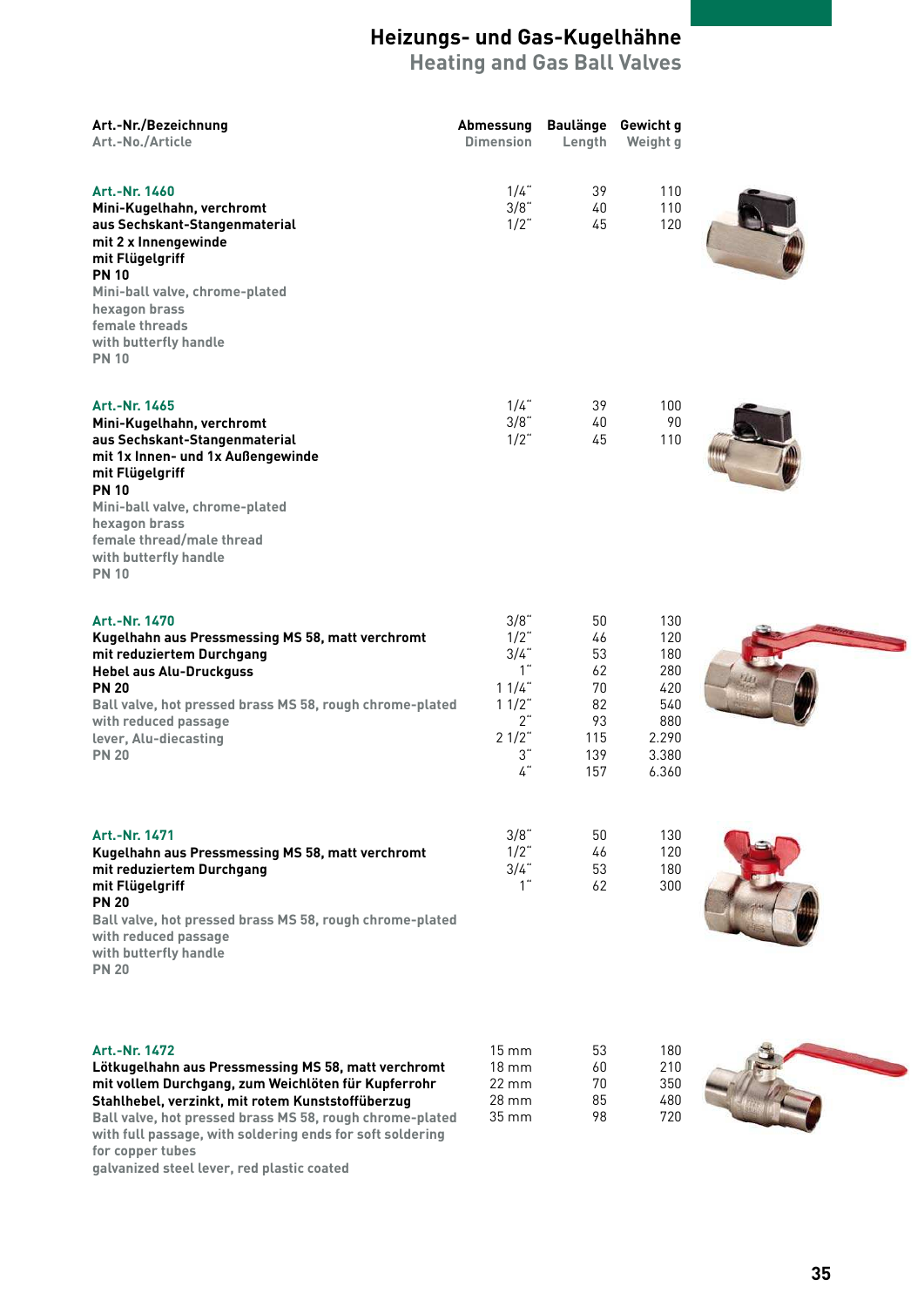**Heating and Gas Ball Valves**

| Art.-Nr./Bezeichnung<br>Art.-No./Article                                                                                                                                                                                                                                                                                      | Abmessung<br><b>Dimension</b>                                                         | <b>Baulänge</b><br>Length                                   | Gewicht g<br>Weight g                                                    |  |
|-------------------------------------------------------------------------------------------------------------------------------------------------------------------------------------------------------------------------------------------------------------------------------------------------------------------------------|---------------------------------------------------------------------------------------|-------------------------------------------------------------|--------------------------------------------------------------------------|--|
| Art.-Nr. 1460<br>Mini-Kugelhahn, verchromt<br>aus Sechskant-Stangenmaterial<br>mit 2 x Innengewinde<br>mit Flügelgriff<br><b>PN 10</b><br>Mini-ball valve, chrome-plated<br>hexagon brass<br>female threads<br>with butterfly handle<br><b>PN 10</b>                                                                          | $1/4$ "<br>3/8"<br>$1/2$ "                                                            | 39<br>40<br>45                                              | 110<br>110<br>120                                                        |  |
| Art.-Nr. 1465<br>Mini-Kugelhahn, verchromt<br>aus Sechskant-Stangenmaterial<br>mit 1x Innen- und 1x Außengewinde<br>mit Flügelgriff<br><b>PN 10</b><br>Mini-ball valve, chrome-plated<br>hexagon brass<br>female thread/male thread<br>with butterfly handle<br><b>PN 10</b>                                                  | $1/4$ "<br>3/8"<br>$1/2$ "                                                            | 39<br>40<br>45                                              | 100<br>90<br>110                                                         |  |
| Art.-Nr. 1470<br>Kugelhahn aus Pressmessing MS 58, matt verchromt<br>mit reduziertem Durchgang<br><b>Hebel aus Alu-Druckguss</b><br><b>PN 20</b><br>Ball valve, hot pressed brass MS 58, rough chrome-plated<br>with reduced passage<br>lever, Alu-diecasting<br><b>PN 20</b>                                                 | 3/8"<br>$1/2$ "<br>$3/4$ "<br>1"<br>11/4<br>$11/2$ "<br>2"<br>$21/2$ "<br>3"<br>$4$ " | 50<br>46<br>53<br>62<br>70<br>82<br>93<br>115<br>139<br>157 | 130<br>120<br>180<br>280<br>420<br>540<br>880<br>2.290<br>3.380<br>6.360 |  |
| Art.-Nr. 1471<br>Kugelhahn aus Pressmessing MS 58, matt verchromt<br>mit reduziertem Durchgang<br>mit Flügelgriff<br><b>PN 20</b><br>Ball valve, hot pressed brass MS 58, rough chrome-plated<br>with reduced passage<br>with butterfly handle<br><b>PN 20</b>                                                                | 3/8"<br>$1/2$ "<br>$3/4$ "<br>1"                                                      | 50<br>46<br>53<br>62                                        | 130<br>120<br>180<br>300                                                 |  |
| Art.-Nr. 1472<br>Lötkugelhahn aus Pressmessing MS 58, matt verchromt<br>mit vollem Durchgang, zum Weichlöten für Kupferrohr<br>Stahlhebel, verzinkt, mit rotem Kunststoffüberzug<br>Ball valve, hot pressed brass MS 58, rough chrome-plated<br>with full passage, with soldering ends for soft soldering<br>for copper tubes | 15 mm<br>$18 \text{ mm}$<br>$22 \text{ mm}$<br>28 mm<br>$35 \, \text{mm}$             | 53<br>60<br>70<br>85<br>98                                  | 180<br>210<br>350<br>480<br>720                                          |  |

**galvanized steel lever, red plastic coated**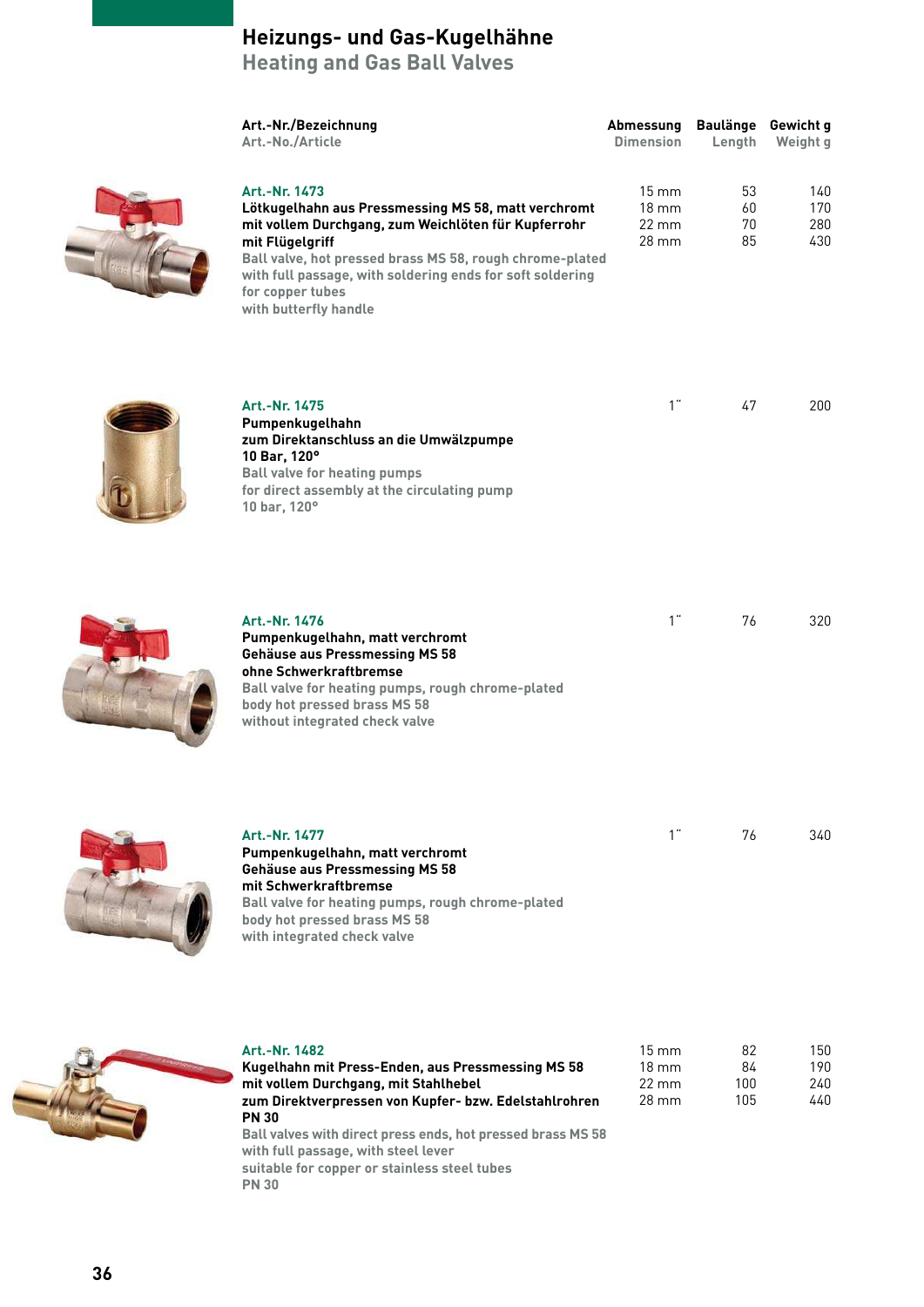**Heating and Gas Ball Valves**

| Art.-Nr./Bezeichnung<br>Art.-No./Article                                                                                                                                                                                                                                                                                                                  | Abmessung<br><b>Dimension</b>                                      | Baulänge Gewicht g<br>Length | Weight g                 |
|-----------------------------------------------------------------------------------------------------------------------------------------------------------------------------------------------------------------------------------------------------------------------------------------------------------------------------------------------------------|--------------------------------------------------------------------|------------------------------|--------------------------|
| Art.-Nr. 1473<br>Lötkugelhahn aus Pressmessing MS 58, matt verchromt<br>mit vollem Durchgang, zum Weichlöten für Kupferrohr<br>mit Flügelgriff<br>Ball valve, hot pressed brass MS 58, rough chrome-plated<br>with full passage, with soldering ends for soft soldering<br>for copper tubes<br>with butterfly handle                                      | $15 \, \text{mm}$<br>$18 \text{ mm}$<br>$22 \, \text{mm}$<br>28 mm | 53<br>60<br>70<br>85         | 140<br>170<br>280<br>430 |
| Art.-Nr. 1475<br>Pumpenkugelhahn<br>zum Direktanschluss an die Umwälzpumpe<br>10 Bar, 120°<br><b>Ball valve for heating pumps</b><br>for direct assembly at the circulating pump<br>10 bar, 120°                                                                                                                                                          | 1"                                                                 | 47                           | 200                      |
| Art.-Nr. 1476<br>Pumpenkugelhahn, matt verchromt<br><b>Gehäuse aus Pressmessing MS 58</b><br>ohne Schwerkraftbremse<br>Ball valve for heating pumps, rough chrome-plated<br>body hot pressed brass MS 58<br>without integrated check valve                                                                                                                | 1"                                                                 | 76                           | 320                      |
| Art.-Nr. 1477<br>Pumpenkugelhahn, matt verchromt<br><b>Gehäuse aus Pressmessing MS 58</b><br>mit Schwerkraftbremse<br>Ball valve for heating pumps, rough chrome-plated<br>body hot pressed brass MS 58<br>with integrated check valve                                                                                                                    | 1 <sup>th</sup>                                                    | 76                           | 340                      |
| Art.-Nr. 1482<br>Kugelhahn mit Press-Enden, aus Pressmessing MS 58<br>mit vollem Durchgang, mit Stahlhebel<br>zum Direktverpressen von Kupfer- bzw. Edelstahlrohren<br><b>PN 30</b><br>Ball valves with direct press ends, hot pressed brass MS 58<br>with full passage, with steel lever<br>suitable for copper or stainless steel tubes<br><b>PN 30</b> | $15 \, \text{mm}$<br>$18 \text{ mm}$<br>$22 \text{ mm}$<br>28 mm   | 82<br>84<br>100<br>105       | 150<br>190<br>240<br>440 |